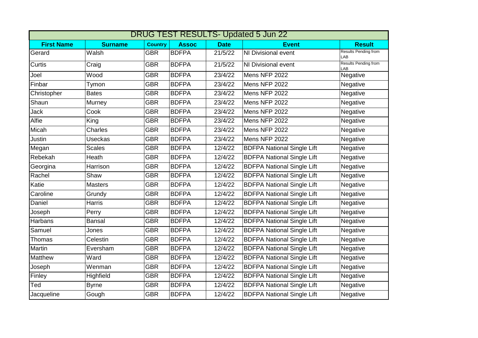| <b>DRUG TEST RESULTS- Updated 5 Jun 22</b> |                |                |              |             |                                   |                             |  |  |  |  |
|--------------------------------------------|----------------|----------------|--------------|-------------|-----------------------------------|-----------------------------|--|--|--|--|
| <b>First Name</b>                          | <b>Surname</b> | <b>Country</b> | <b>Assoc</b> | <b>Date</b> | <b>Event</b>                      | <b>Result</b>               |  |  |  |  |
| Gerard                                     | Walsh          | <b>GBR</b>     | <b>BDFPA</b> | 21/5/22     | NI Divisional event               | Results Pending from<br>LAB |  |  |  |  |
| Curtis                                     | Craig          | <b>GBR</b>     | <b>BDFPA</b> | 21/5/22     | <b>NI Divisional event</b>        | Results Pending from<br>LAB |  |  |  |  |
| Joel                                       | Wood           | <b>GBR</b>     | <b>BDFPA</b> | 23/4/22     | Mens NFP 2022                     | Negative                    |  |  |  |  |
| Finbar                                     | Tymon          | <b>GBR</b>     | <b>BDFPA</b> | 23/4/22     | Mens NFP 2022                     | Negative                    |  |  |  |  |
| Christopher                                | <b>Bates</b>   | <b>GBR</b>     | <b>BDFPA</b> | 23/4/22     | Mens NFP 2022                     | Negative                    |  |  |  |  |
| Shaun                                      | Murney         | <b>GBR</b>     | <b>BDFPA</b> | 23/4/22     | Mens NFP 2022                     | Negative                    |  |  |  |  |
| Jack                                       | Cook           | <b>GBR</b>     | <b>BDFPA</b> | 23/4/22     | Mens NFP 2022                     | Negative                    |  |  |  |  |
| Alfie                                      | King           | <b>GBR</b>     | <b>BDFPA</b> | 23/4/22     | Mens NFP 2022                     | Negative                    |  |  |  |  |
| Micah                                      | Charles        | <b>GBR</b>     | <b>BDFPA</b> | 23/4/22     | Mens NFP 2022                     | Negative                    |  |  |  |  |
| Justin                                     | <b>Useckas</b> | <b>GBR</b>     | <b>BDFPA</b> | 23/4/22     | Mens NFP 2022                     | Negative                    |  |  |  |  |
| Megan                                      | <b>Scales</b>  | <b>GBR</b>     | <b>BDFPA</b> | 12/4/22     | <b>BDFPA National Single Lift</b> | Negative                    |  |  |  |  |
| Rebekah                                    | Heath          | <b>GBR</b>     | <b>BDFPA</b> | 12/4/22     | <b>BDFPA National Single Lift</b> | Negative                    |  |  |  |  |
| Georgina                                   | Harrison       | <b>GBR</b>     | <b>BDFPA</b> | 12/4/22     | <b>BDFPA National Single Lift</b> | Negative                    |  |  |  |  |
| Rachel                                     | Shaw           | <b>GBR</b>     | <b>BDFPA</b> | 12/4/22     | <b>BDFPA National Single Lift</b> | Negative                    |  |  |  |  |
| Katie                                      | <b>Masters</b> | <b>GBR</b>     | <b>BDFPA</b> | 12/4/22     | <b>BDFPA National Single Lift</b> | Negative                    |  |  |  |  |
| Caroline                                   | Grundy         | <b>GBR</b>     | <b>BDFPA</b> | 12/4/22     | <b>BDFPA National Single Lift</b> | Negative                    |  |  |  |  |
| Daniel                                     | <b>Harris</b>  | <b>GBR</b>     | <b>BDFPA</b> | 12/4/22     | <b>BDFPA National Single Lift</b> | Negative                    |  |  |  |  |
| Joseph                                     | Perry          | <b>GBR</b>     | <b>BDFPA</b> | 12/4/22     | <b>BDFPA National Single Lift</b> | Negative                    |  |  |  |  |
| Harbans                                    | <b>Bansal</b>  | <b>GBR</b>     | <b>BDFPA</b> | 12/4/22     | <b>BDFPA National Single Lift</b> | Negative                    |  |  |  |  |
| Samuel                                     | Jones          | <b>GBR</b>     | <b>BDFPA</b> | 12/4/22     | <b>BDFPA National Single Lift</b> | Negative                    |  |  |  |  |
| Thomas                                     | Celestin       | <b>GBR</b>     | <b>BDFPA</b> | 12/4/22     | <b>BDFPA National Single Lift</b> | Negative                    |  |  |  |  |
| Martin                                     | Eversham       | <b>GBR</b>     | <b>BDFPA</b> | 12/4/22     | <b>BDFPA National Single Lift</b> | Negative                    |  |  |  |  |
| Matthew                                    | Ward           | <b>GBR</b>     | <b>BDFPA</b> | 12/4/22     | <b>BDFPA National Single Lift</b> | Negative                    |  |  |  |  |
| Joseph                                     | Wenman         | <b>GBR</b>     | <b>BDFPA</b> | 12/4/22     | <b>BDFPA National Single Lift</b> | Negative                    |  |  |  |  |
| Finley                                     | Highfield      | <b>GBR</b>     | <b>BDFPA</b> | 12/4/22     | <b>BDFPA National Single Lift</b> | Negative                    |  |  |  |  |
| Ted                                        | <b>Byrne</b>   | <b>GBR</b>     | <b>BDFPA</b> | 12/4/22     | <b>BDFPA National Single Lift</b> | Negative                    |  |  |  |  |
| Jacqueline                                 | Gough          | <b>GBR</b>     | <b>BDFPA</b> | 12/4/22     | <b>BDFPA National Single Lift</b> | Negative                    |  |  |  |  |